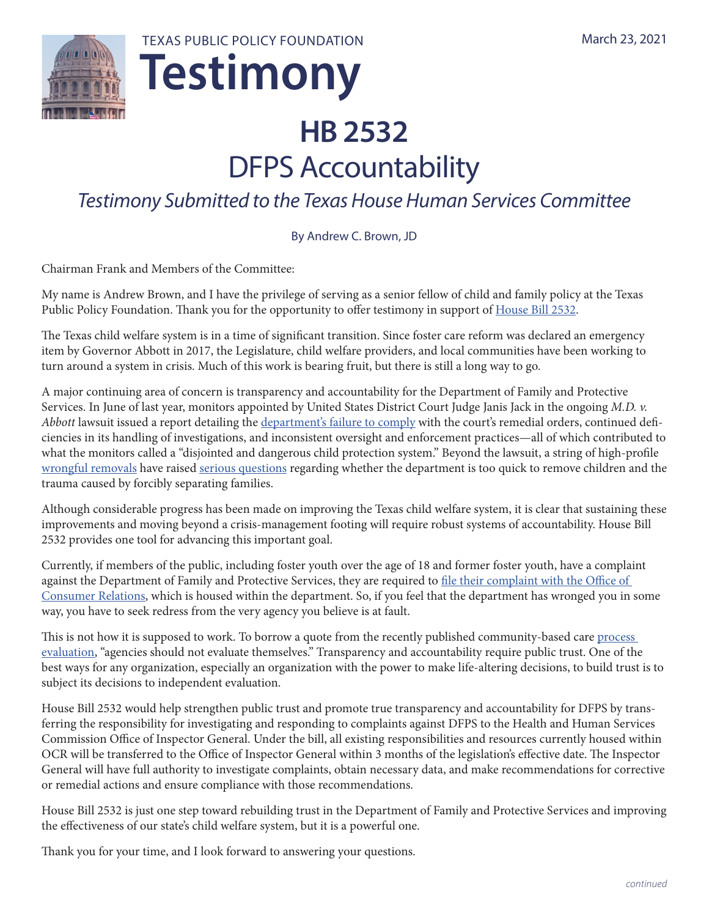

# **Testimony** TEXAS PUBLIC POLICY FOUNDATION

## **HB 2532** DFPS Accountability

## *Testimony Submitted to the Texas House Human Services Committee*

By Andrew C. Brown, JD

Chairman Frank and Members of the Committee:

My name is Andrew Brown, and I have the privilege of serving as a senior fellow of child and family policy at the Texas Public Policy Foundation. Thank you for the opportunity to offer testimony in support of [House Bill 2532](https://capitol.texas.gov/BillLookup/History.aspx?LegSess=87R&Bill=HB2532).

The Texas child welfare system is in a time of significant transition. Since foster care reform was declared an emergency item by Governor Abbott in 2017, the Legislature, child welfare providers, and local communities have been working to turn around a system in crisis. Much of this work is bearing fruit, but there is still a long way to go.

A major continuing area of concern is transparency and accountability for the Department of Family and Protective Services. In June of last year, monitors appointed by United States District Court Judge Janis Jack in the ongoing *M.D. v. Abbott* lawsuit issued a [report](https://static.texastribune.org/media/files/cd71f14e349d1133df3072ebc25c9350/Texas%20child%20welfare%20monitors%20report%20June%202020.pdf?_ga=2.125254666.1296629555.1592340219-1162177250.1578942998) detailing the [department's failure to comply](https://static.texastribune.org/media/files/cd71f14e349d1133df3072ebc25c9350/Texas%20child%20welfare%20monitors%20report%20June%202020.pdf?_ga=2.125254666.1296629555.1592340219-1162177250.1578942998) with the court's remedial orders, continued deficiencies in its handling of investigations, and inconsistent oversight and enforcement practices—all of which contributed to what the monitors called a "disjointed and dangerous child protection system." Beyond the lawsuit, a string of high-profile [wrongful removals](https://www.chron.com/news/houston-texas/houston/article/CPS-drops-appeal-agrees-to-pay-127K-sanction-13852140.php) have raised [serious questions](https://www.nbcnews.com/news/us-news/texas-lawmakers-want-protect-families-wrongly-accused-child-abuse-n1058841) regarding whether the department is too quick to remove children and the trauma caused by forcibly separating families.

Although considerable progress has been made on improving the Texas child welfare system, it is clear that sustaining these improvements and moving beyond a crisis-management footing will require robust systems of accountability. House Bill 2532 provides one tool for advancing this important goal.

Currently, if members of the public, including foster youth over the age of 18 and former foster youth, have a complaint against the Department of Family and Protective Services, they are required to [file their complaint with the Office of](https://www.dfps.state.tx.us/Contact_Us/Questions_and_Complaints/OCR.asp)  [Consumer Relations,](https://www.dfps.state.tx.us/Contact_Us/Questions_and_Complaints/OCR.asp) which is housed within the department. So, if you feel that the department has wronged you in some way, you have to seek redress from the very agency you believe is at fault.

This is not how it is supposed to work. To borrow a quote from the recently published community-based care process [evaluation,](http://www.dfps.state.tx.us/Child_Protection/Foster_Care/Community-Based_Care/documents/2020-11-TTU_CBC_Process_Evaluation.pdf) "agencies should not evaluate themselves." Transparency and accountability require public trust. One of the best ways for any organization, especially an organization with the power to make life-altering decisions, to build trust is to subject its decisions to independent evaluation.

House Bill 2532 would help strengthen public trust and promote true transparency and accountability for DFPS by transferring the responsibility for investigating and responding to complaints against DFPS to the Health and Human Services Commission Office of Inspector General. Under the bill, all existing responsibilities and resources currently housed within OCR will be transferred to the Office of Inspector General within 3 months of the legislation's effective date. The Inspector General will have full authority to investigate complaints, obtain necessary data, and make recommendations for corrective or remedial actions and ensure compliance with those recommendations.

House Bill 2532 is just one step toward rebuilding trust in the Department of Family and Protective Services and improving the effectiveness of our state's child welfare system, but it is a powerful one.

Thank you for your time, and I look forward to answering your questions.